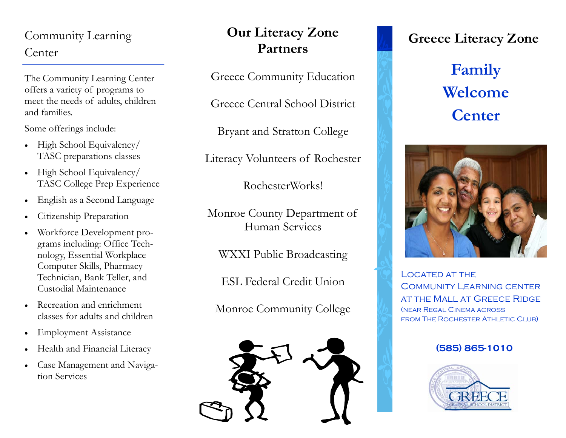### Community Learning Center

The Community Learning Center offers a variety of programs to meet the needs of adults, children and families.

Some offerings include:

- $\bullet$  High School Equivalency/ TASC preparations classes
- $\bullet$  High School Equivalency/ TASC College Prep Experience
- $\bullet$ English as a Second Language
- $\bullet$ Citizenship Preparation
- $\bullet$  Workforce Development programs including: Office Technology, Essential Workplace Computer Skills, Pharmacy Technician, Bank Teller, and Custodial Maintenance
- Recreation and enrichment classes for adults and children
- $\bullet$ Employment Assistance
- $\bullet$ Health and Financial Literacy
- Case Management and Navigation Services

## **Our Literacy Zone Partners**

Greece Community Education

Greece Central School District

Bryant and Stratton College

Literacy Volunteers of Rochester

RochesterWorks!

Monroe County Department of Human Services

WXXI Public Broadcasting

ESL Federal Credit Union

Monroe Community College



## **Greece Literacy Zone**

# **Family Welcome Center**



LOCATED AT THE COMMUNITY LEARNING CENTER at the Mall at Greece Ridge (near Regal Cinema across FROM THE ROCHESTER ATHLETIC CLUB)

#### **(585) 865-1010**